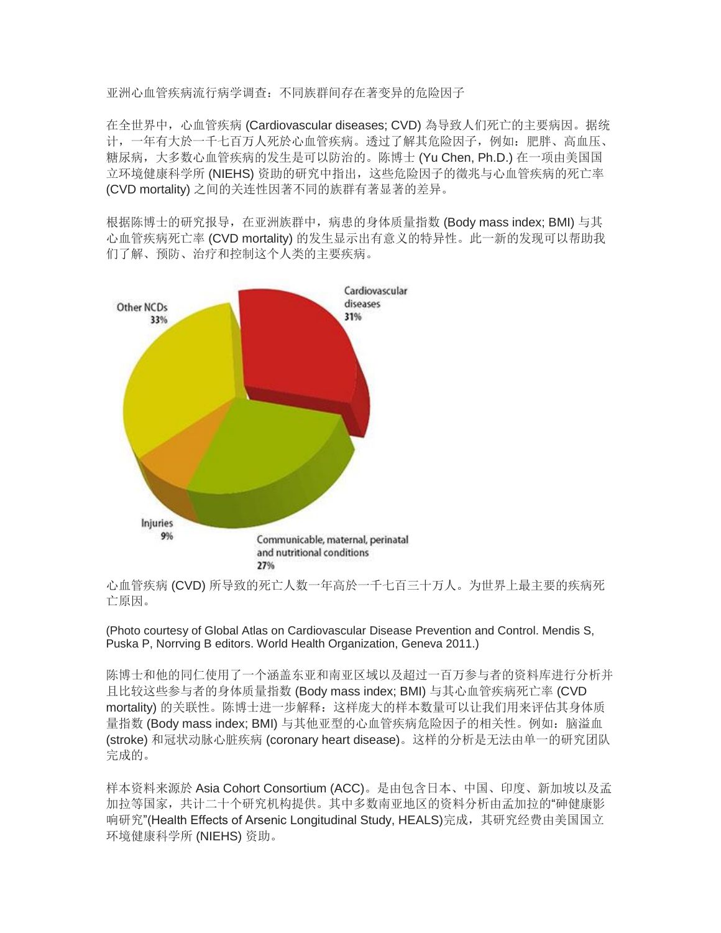亚洲心血管疾病流行病学调查:不同族群间存在著变异的危险因子

在全世界中,心血管疾病 (Cardiovascular diseases; CVD) 為导致人们死亡的主要病因。据统 计,一年有大於一千七百万人死於心血管疾病。透过了解其危险因子,例如:肥胖、高血压、 糖尿病,大多数心血管疾病的发生是可以防治的。陈博士 (Yu Chen, Ph.D.) 在一项由美国国 立环境健康科学所 (NIEHS) 资助的研究中指出,这些危险因子的徵兆与心血管疾病的死亡率 (CVD mortality) 之间的关连性因著不同的族群有著显著的差异。

根据陈博士的研究报导,在亚洲族群中,病患的身体质量指数 (Body mass index; BMI) 与其 心血管疾病死亡率 (CVD mortality) 的发生显示出有意义的特异性。此一新的发现可以帮助我 们了解、预防、治疗和控制这个人类的主要疾病。



心血管疾病 (CVD) 所导致的死亡人数一年高於一千七百三十万人。为世界上最主要的疾病死 亡原因。

(Photo courtesy of Global Atlas on Cardiovascular Disease Prevention and Control. Mendis S, Puska P, Norrving B editors. World Health Organization, Geneva 2011.)

陈博士和他的同仁使用了一个涵盖东亚和南亚区域以及超过一百万参与者的资料库进行分析并 且比较这些参与者的身体质量指数 (Body mass index; BMI) 与其心血管疾病死亡率 (CVD mortality) 的关联性。陈博士进一步解释:这样庞大的样本数量可以让我们用来评估其身体质 量指数 (Body mass index; BMI) 与其他亚型的心血管疾病危险因子的相关性。例如: 脑溢血 (stroke) 和冠状动脉心脏疾病 (coronary heart disease)。这样的分析是无法由单一的研究团队 完成的。

样本资料来源於 Asia Cohort Consortium (ACC)。是由包含日本、中国、印度、新加坡以及孟 加拉等国家,共计二十个研究机构提供。其中多数南亚地区的资料分析由孟加拉的"砷健康影 响研究"(Health Effects of Arsenic Longitudinal Study, HEALS)完成,其研究经费由美国国立 环境健康科学所 (NIEHS) 资助。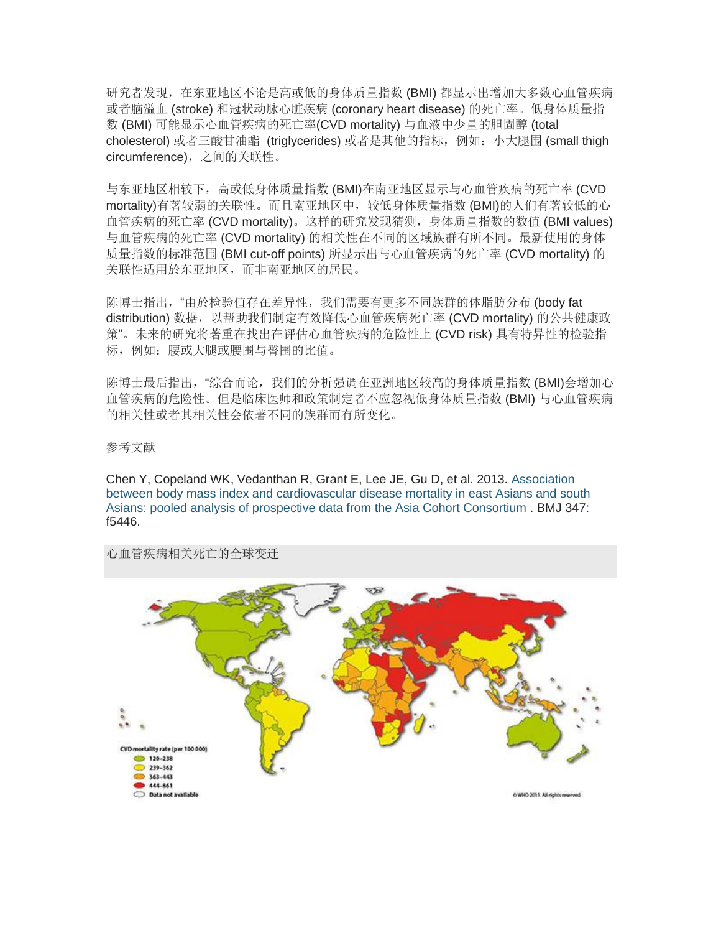研究者发现,在东亚地区不论是高或低的身体质量指数 (BMI) 都显示出增加大多数心血管疾病 或者脑溢血 (stroke) 和冠状动脉心脏疾病 (coronary heart disease) 的死亡率。低身体质量指 数 (BMI) 可能显示心血管疾病的死亡率(CVD mortality) 与血液中少量的胆固醇 (total cholesterol) 或者三酸甘油酯 (triglycerides) 或者是其他的指标,例如:小大腿围 (small thigh circumference),之间的关联性。

与东亚地区相较下,高或低身体质量指数 (BMI)在南亚地区显示与心血管疾病的死亡率 (CVD mortality)有著较弱的关联性。而且南亚地区中,较低身体质量指数 (BMI)的人们有著较低的心 血管疾病的死亡率 (CVD mortality)。这样的研究发现猜测,身体质量指数的数值 (BMI values) 与血管疾病的死亡率 (CVD mortality) 的相关性在不同的区域族群有所不同。最新使用的身体 质量指数的标准范围 (BMI cut-off points) 所显示出与心血管疾病的死亡率 (CVD mortality) 的 关联性适用於东亚地区,而非南亚地区的居民。

陈博士指出,"由於检验值存在差异性,我们需要有更多不同族群的体脂肪分布 (body fat distribution) 数据,以帮助我们制定有效降低心血管疾病死亡率 (CVD mortality) 的公共健康政 策"。未来的研究将著重在找出在评估心血管疾病的危险性上 (CVD risk) 具有特异性的检验指 标,例如:腰或大腿或腰围与臀围的比值。

陈博士最后指出, "综合而论, 我们的分析强调在亚洲地区较高的身体质量指数 (BMI)会增加心 血管疾病的危险性。但是临床医师和政策制定者不应忽视低身体质量指数 (BMI) 与心血管疾病 的相关性或者其相关性会依著不同的族群而有所变化。

参考文献

Chen Y, Copeland WK, Vedanthan R, Grant E, Lee JE, Gu D, et al. 2013. [Association](http://www.bmj.com/content/347/bmj.f5446)  [between body mass index and cardiovascular disease mortality in east Asians and south](http://www.bmj.com/content/347/bmj.f5446)  [Asians: pooled analysis of prospective data from the Asia Cohort Consortium](http://www.bmj.com/content/347/bmj.f5446) . BMJ 347: f5446.



心血管疾病相关死亡的全球变迁